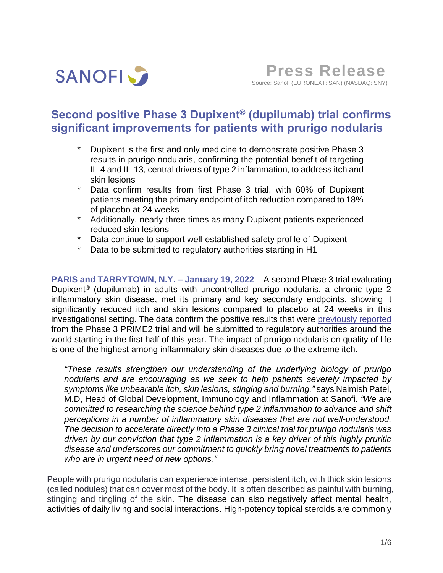

**Press Release** Source: Sanofi (EURONEXT: SAN) (NASDAQ: SNY)

# **Second positive Phase 3 Dupixent® (dupilumab) trial confirms significant improvements for patients with prurigo nodularis**

- Dupixent is the first and only medicine to demonstrate positive Phase 3 results in prurigo nodularis, confirming the potential benefit of targeting IL-4 and IL-13, central drivers of type 2 inflammation, to address itch and skin lesions
- \* Data confirm results from first Phase 3 trial, with 60% of Dupixent patients meeting the primary endpoint of itch reduction compared to 18% of placebo at 24 weeks
- \* Additionally, nearly three times as many Dupixent patients experienced reduced skin lesions
- \* Data continue to support well-established safety profile of Dupixent
- Data to be submitted to regulatory authorities starting in H1

**PARIS and TARRYTOWN, N.Y. – January 19, 2022** – A second Phase 3 trial evaluating Dupixent® (dupilumab) in adults with uncontrolled prurigo nodularis, a chronic type 2 inflammatory skin disease, met its primary and key secondary endpoints, showing it significantly reduced itch and skin lesions compared to placebo at 24 weeks in this investigational setting. The data confirm the positive results that were [previously reported](https://www.sanofi.com/en/media-room/press-releases/2021/2021-10-22-07-00-00-2318876) from the Phase 3 PRIME2 trial and will be submitted to regulatory authorities around the world starting in the first half of this year. The impact of prurigo nodularis on quality of life is one of the highest among inflammatory skin diseases due to the extreme itch.

*"These results strengthen our understanding of the underlying biology of prurigo nodularis and are encouraging as we seek to help patients severely impacted by symptoms like unbearable itch, skin lesions, stinging and burning,"* says Naimish Patel, M.D, Head of Global Development, Immunology and Inflammation at Sanofi. *"We are committed to researching the science behind type 2 inflammation to advance and shift perceptions in a number of inflammatory skin diseases that are not well-understood. The decision to accelerate directly into a Phase 3 clinical trial for prurigo nodularis was driven by our conviction that type 2 inflammation is a key driver of this highly pruritic disease and underscores our commitment to quickly bring novel treatments to patients who are in urgent need of new options."* 

People with prurigo nodularis can experience intense, persistent itch, with thick skin lesions (called nodules) that can cover most of the body. It is often described as painful with burning, stinging and tingling of the skin. The disease can also negatively affect mental health, activities of daily living and social interactions. High-potency topical steroids are commonly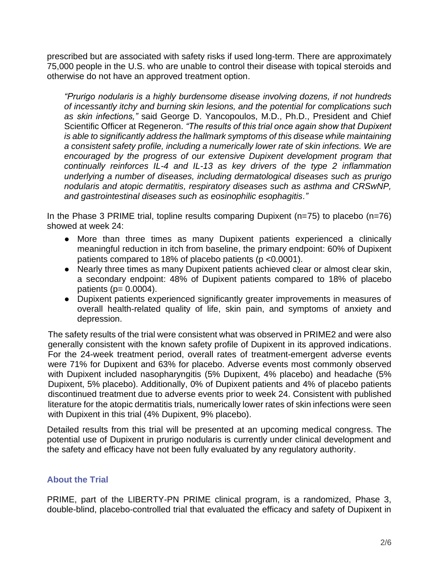prescribed but are associated with safety risks if used long-term. There are approximately 75,000 people in the U.S. who are unable to control their disease with topical steroids and otherwise do not have an approved treatment option.

*"Prurigo nodularis is a highly burdensome disease involving dozens, if not hundreds of incessantly itchy and burning skin lesions, and the potential for complications such as skin infections,"* said George D. Yancopoulos, M.D., Ph.D., President and Chief Scientific Officer at Regeneron. *"The results of this trial once again show that Dupixent is able to significantly address the hallmark symptoms of this disease while maintaining a consistent safety profile, including a numerically lower rate of skin infections. We are encouraged by the progress of our extensive Dupixent development program that continually reinforces IL-4 and IL-13 as key drivers of the type 2 inflammation underlying a number of diseases, including dermatological diseases such as prurigo nodularis and atopic dermatitis, respiratory diseases such as asthma and CRSwNP, and gastrointestinal diseases such as eosinophilic esophagitis."*

In the Phase 3 PRIME trial, topline results comparing Dupixent (n=75) to placebo (n=76) showed at week 24:

- More than three times as many Dupixent patients experienced a clinically meaningful reduction in itch from baseline, the primary endpoint: 60% of Dupixent patients compared to 18% of placebo patients (p <0.0001).
- Nearly three times as many Dupixent patients achieved clear or almost clear skin, a secondary endpoint: 48% of Dupixent patients compared to 18% of placebo patients ( $p= 0.0004$ ).
- Dupixent patients experienced significantly greater improvements in measures of overall health-related quality of life, skin pain, and symptoms of anxiety and depression.

The safety results of the trial were consistent what was observed in PRIME2 and were also generally consistent with the known safety profile of Dupixent in its approved indications. For the 24-week treatment period, overall rates of treatment-emergent adverse events were 71% for Dupixent and 63% for placebo. Adverse events most commonly observed with Dupixent included nasopharyngitis (5% Dupixent, 4% placebo) and headache (5% Dupixent, 5% placebo). Additionally, 0% of Dupixent patients and 4% of placebo patients discontinued treatment due to adverse events prior to week 24. Consistent with published literature for the atopic dermatitis trials, numerically lower rates of skin infections were seen with Dupixent in this trial (4% Dupixent, 9% placebo).

Detailed results from this trial will be presented at an upcoming medical congress. The potential use of Dupixent in prurigo nodularis is currently under clinical development and the safety and efficacy have not been fully evaluated by any regulatory authority.

# **About the Trial**

PRIME, part of the LIBERTY-PN PRIME clinical program, is a randomized, Phase 3, double-blind, placebo-controlled trial that evaluated the efficacy and safety of Dupixent in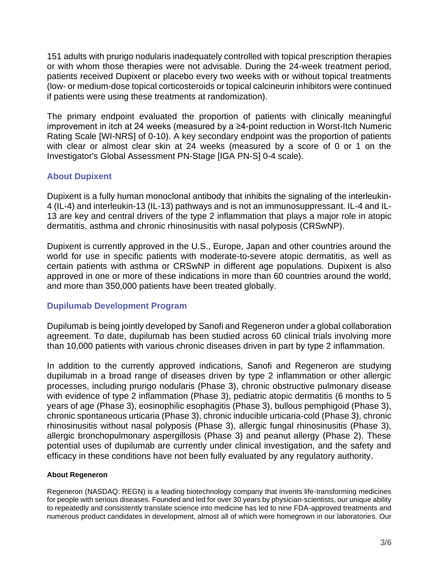151 adults with prurigo nodularis inadequately controlled with topical prescription therapies or with whom those therapies were not advisable. During the 24-week treatment period, patients received Dupixent or placebo every two weeks with or without topical treatments (low- or medium-dose topical corticosteroids or topical calcineurin inhibitors were continued if patients were using these treatments at randomization).

The primary endpoint evaluated the proportion of patients with clinically meaningful improvement in itch at 24 weeks (measured by a ≥4-point reduction in Worst-Itch Numeric Rating Scale [WI-NRS] of 0-10). A key secondary endpoint was the proportion of patients with clear or almost clear skin at 24 weeks (measured by a score of 0 or 1 on the Investigator's Global Assessment PN-Stage [IGA PN-S] 0-4 scale).

# **About Dupixent**

Dupixent is a fully human monoclonal antibody that inhibits the signaling of the interleukin-4 (IL-4) and interleukin-13 (IL-13) pathways and is not an immunosuppressant. IL-4 and IL-13 are key and central drivers of the type 2 inflammation that plays a major role in atopic dermatitis, asthma and chronic rhinosinusitis with nasal polyposis (CRSwNP).

Dupixent is currently approved in the U.S., Europe, Japan and other countries around the world for use in specific patients with moderate-to-severe atopic dermatitis, as well as certain patients with asthma or CRSwNP in different age populations. Dupixent is also approved in one or more of these indications in more than 60 countries around the world, and more than 350,000 patients have been treated globally.

# **Dupilumab Development Program**

Dupilumab is being jointly developed by Sanofi and Regeneron under a global collaboration agreement. To date, dupilumab has been studied across 60 clinical trials involving more than 10,000 patients with various chronic diseases driven in part by type 2 inflammation.

In addition to the currently approved indications, Sanofi and Regeneron are studying dupilumab in a broad range of diseases driven by type 2 inflammation or other allergic processes, including prurigo nodularis (Phase 3), chronic obstructive pulmonary disease with evidence of type 2 inflammation (Phase 3), pediatric atopic dermatitis (6 months to 5 years of age (Phase 3), eosinophilic esophagitis (Phase 3), bullous pemphigoid (Phase 3), chronic spontaneous urticaria (Phase 3), chronic inducible urticaria-cold (Phase 3), chronic rhinosinusitis without nasal polyposis (Phase 3), allergic fungal rhinosinusitis (Phase 3), allergic bronchopulmonary aspergillosis (Phase 3) and peanut allergy (Phase 2). These potential uses of dupilumab are currently under clinical investigation, and the safety and efficacy in these conditions have not been fully evaluated by any regulatory authority.

## **About Regeneron**

Regeneron (NASDAQ: REGN) is a leading biotechnology company that invents life-transforming medicines for people with serious diseases. Founded and led for over 30 years by physician-scientists, our unique ability to repeatedly and consistently translate science into medicine has led to nine FDA-approved treatments and numerous product candidates in development, almost all of which were homegrown in our laboratories. Our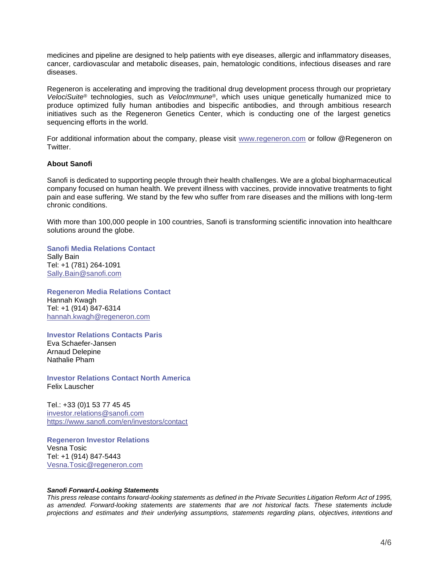medicines and pipeline are designed to help patients with eye diseases, allergic and inflammatory diseases, cancer, cardiovascular and metabolic diseases, pain, hematologic conditions, infectious diseases and rare diseases.

Regeneron is accelerating and improving the traditional drug development process through our proprietary *VelociSuite®* technologies, such as *VelocImmune®*, which uses unique genetically humanized mice to produce optimized fully human antibodies and bispecific antibodies, and through ambitious research initiatives such as the Regeneron Genetics Center, which is conducting one of the largest genetics sequencing efforts in the world.

For additional information about the company, please visit [www.regeneron.com](http://www.regeneron.com/) or follow @Regeneron on Twitter.

### **About Sanofi**

Sanofi is dedicated to supporting people through their health challenges. We are a global biopharmaceutical company focused on human health. We prevent illness with vaccines, provide innovative treatments to fight pain and ease suffering. We stand by the few who suffer from rare diseases and the millions with long-term chronic conditions.

With more than 100,000 people in 100 countries, Sanofi is transforming scientific innovation into healthcare solutions around the globe.

**Sanofi Media Relations Contact** Sally Bain Tel: +1 (781) 264-1091 Sally.Bain@sanofi.com

**Regeneron Media Relations Contact** Hannah Kwagh Tel: +1 (914) 847-6314 [hannah.kwagh@regeneron.com](mailto:sharon.chen@regeneron.com)

**Investor Relations Contacts Paris** Eva Schaefer-Jansen

Arnaud Delepine Nathalie Pham

**Investor Relations Contact North America** Felix Lauscher

Tel.: +33 (0)1 53 77 45 45 [investor.relations@sanofi.com](mailto:investor.relations@sanofi.com) <https://www.sanofi.com/en/investors/contact>

**Regeneron Investor Relations** Vesna Tosic Tel: +1 (914) 847-5443 [Vesna.Tosic@regeneron.com](mailto:Vesna.Tosic@regeneron.com)

#### *Sanofi Forward-Looking Statements*

*This press release contains forward-looking statements as defined in the Private Securities Litigation Reform Act of 1995, as amended. Forward-looking statements are statements that are not historical facts. These statements include projections and estimates and their underlying assumptions, statements regarding plans, objectives, intentions and*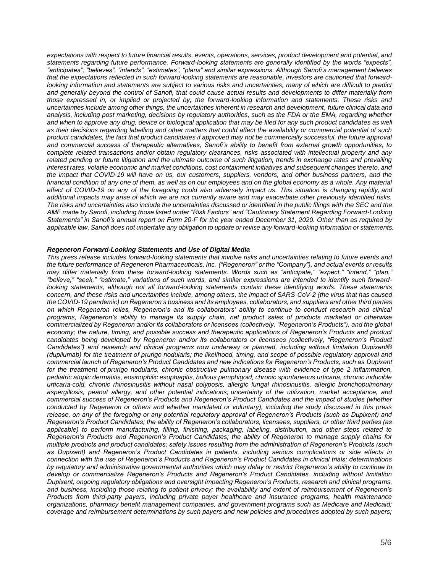*expectations with respect to future financial results, events, operations, services, product development and potential, and statements regarding future performance. Forward-looking statements are generally identified by the words "expects", "anticipates", "believes", "intends", "estimates", "plans" and similar expressions. Although Sanofi's management believes that the expectations reflected in such forward-looking statements are reasonable, investors are cautioned that forwardlooking information and statements are subject to various risks and uncertainties, many of which are difficult to predict and generally beyond the control of Sanofi, that could cause actual results and developments to differ materially from*  those expressed in, or implied or projected by, the forward-looking information and statements. These risks and *uncertainties include among other things, the uncertainties inherent in research and development, future clinical data and*  analysis, including post marketing, decisions by regulatory authorities, such as the FDA or the EMA, regarding whether and when to approve any drug, device or biological application that may be filed for any such product candidates as well *as their decisions regarding labelling and other matters that could affect the availability or commercial potential of such product candidates, the fact that product candidates if approved may not be commercially successful, the future approval and commercial success of therapeutic alternatives, Sanofi's ability to benefit from external growth opportunities, to complete related transactions and/or obtain regulatory clearances, risks associated with intellectual property and any related pending or future litigation and the ultimate outcome of such litigation, trends in exchange rates and prevailing interest rates, volatile economic and market conditions, cost containment initiatives and subsequent changes thereto, and the impact that COVID-19 will have on us, our customers, suppliers, vendors, and other business partners, and the*  financial condition of any one of them, as well as on our employees and on the global economy as a whole. Any material *effect of COVID-19 on any of the foregoing could also adversely impact us. This situation is changing rapidly, and additional impacts may arise of which we are not currently aware and may exacerbate other previously identified risks. The risks and uncertainties also include the uncertainties discussed or identified in the public filings with the SEC and the AMF made by Sanofi, including those listed under "Risk Factors" and "Cautionary Statement Regarding Forward-Looking Statements" in Sanofi's annual report on Form 20-F for the year ended December 31, 2020. Other than as required by applicable law, Sanofi does not undertake any obligation to update or revise any forward-looking information or statements.*

#### *Regeneron Forward-Looking Statements and Use of Digital Media*

*This press release includes forward-looking statements that involve risks and uncertainties relating to future events and the future performance of Regeneron Pharmaceuticals, Inc. ("Regeneron" or the "Company"), and actual events or results may differ materially from these forward-looking statements. Words such as "anticipate," "expect," "intend," "plan," "believe," "seek," "estimate," variations of such words, and similar expressions are intended to identify such forwardlooking statements, although not all forward-looking statements contain these identifying words. These statements concern, and these risks and uncertainties include, among others, the impact of SARS-CoV-2 (the virus that has caused the COVID-19 pandemic) on Regeneron's business and its employees, collaborators, and suppliers and other third parties on which Regeneron relies, Regeneron's and its collaborators' ability to continue to conduct research and clinical programs, Regeneron's ability to manage its supply chain, net product sales of products marketed or otherwise commercialized by Regeneron and/or its collaborators or licensees (collectively, "Regeneron's Products"), and the global economy; the nature, timing, and possible success and therapeutic applications of Regeneron's Products and product candidates being developed by Regeneron and/or its collaborators or licensees (collectively, "Regeneron's Product Candidates") and research and clinical programs now underway or planned, including without limitation Dupixent® (dupilumab) for the treatment of prurigo nodularis; the likelihood, timing, and scope of possible regulatory approval and commercial launch of Regeneron's Product Candidates and new indications for Regeneron's Products, such as Dupixent for the treatment of prurigo nodularis, chronic obstructive pulmonary disease with evidence of type 2 inflammation, pediatric atopic dermatitis, eosinophilic esophagitis, bullous pemphigoid, chronic spontaneous urticaria, chronic inducible urticaria-cold, chronic rhinosinusitis without nasal polyposis, allergic fungal rhinosinusitis, allergic bronchopulmonary aspergillosis, peanut allergy, and other potential indications; uncertainty of the utilization, market acceptance, and commercial success of Regeneron's Products and Regeneron's Product Candidates and the impact of studies (whether conducted by Regeneron or others and whether mandated or voluntary), including the study discussed in this press*  release, on any of the foregoing or any potential regulatory approval of Regeneron's Products (such as Dupixent) and *Regeneron's Product Candidates; the ability of Regeneron's collaborators, licensees, suppliers, or other third parties (as applicable) to perform manufacturing, filling, finishing, packaging, labeling, distribution, and other steps related to Regeneron's Products and Regeneron's Product Candidates; the ability of Regeneron to manage supply chains for multiple products and product candidates; safety issues resulting from the administration of Regeneron's Products (such as Dupixent) and Regeneron's Product Candidates in patients, including serious complications or side effects in connection with the use of Regeneron's Products and Regeneron's Product Candidates in clinical trials; determinations by regulatory and administrative governmental authorities which may delay or restrict Regeneron's ability to continue to develop or commercialize Regeneron's Products and Regeneron's Product Candidates, including without limitation Dupixent; ongoing regulatory obligations and oversight impacting Regeneron's Products, research and clinical programs, and business, including those relating to patient privacy; the availability and extent of reimbursement of Regeneron's Products from third-party payers, including private payer healthcare and insurance programs, health maintenance organizations, pharmacy benefit management companies, and government programs such as Medicare and Medicaid; coverage and reimbursement determinations by such payers and new policies and procedures adopted by such payers;*